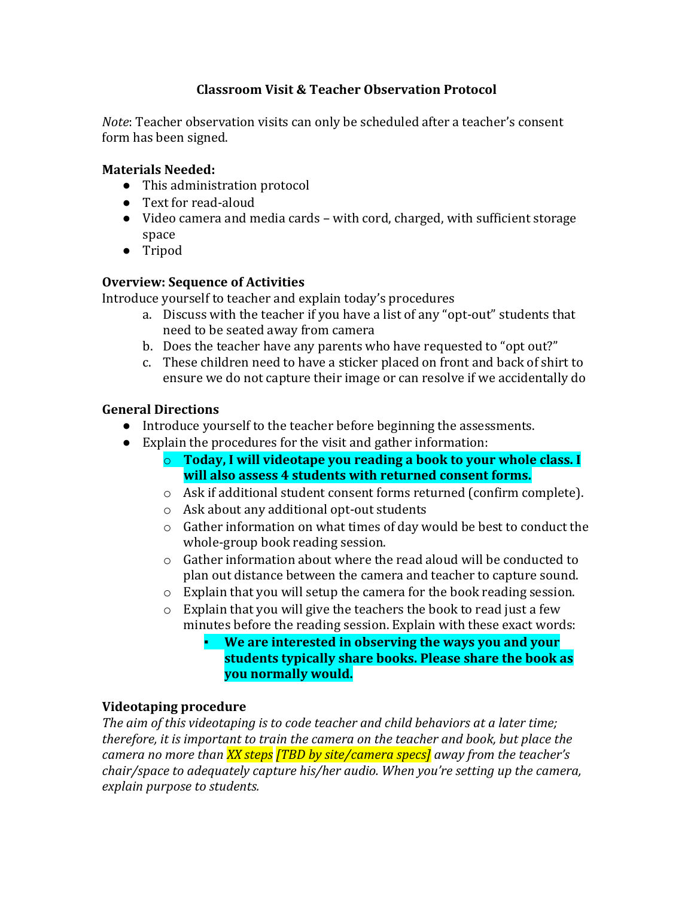## **Classroom Visit & Teacher Observation Protocol**

*Note*: Teacher observation visits can only be scheduled after a teacher's consent form has been signed.

#### **Materials Needed:**

- This administration protocol
- Text for read-aloud
- Video camera and media cards with cord, charged, with sufficient storage space
- Tripod

## **Overview: Sequence of Activities**

Introduce yourself to teacher and explain today's procedures

- a. Discuss with the teacher if you have a list of any "opt-out" students that need to be seated away from camera
- b. Does the teacher have any parents who have requested to "opt out?"
- c. These children need to have a sticker placed on front and back of shirt to ensure we do not capture their image or can resolve if we accidentally do

## **General Directions**

- Introduce yourself to the teacher before beginning the assessments.
- Explain the procedures for the visit and gather information:
	- o **Today, I will videotape you reading a book to your whole class. I will also assess 4 students with returned consent forms.**
	- o Ask if additional student consent forms returned (confirm complete).
	- o Ask about any additional opt-out students
	- o Gather information on what times of day would be best to conduct the whole-group book reading session.
	- o Gather information about where the read aloud will be conducted to plan out distance between the camera and teacher to capture sound.
	- o Explain that you will setup the camera for the book reading session.
	- o Explain that you will give the teachers the book to read just a few minutes before the reading session. Explain with these exact words:

▪ **We are interested in observing the ways you and your students typically share books. Please share the book as you normally would.** 

## **Videotaping procedure**

*The aim of this videotaping is to code teacher and child behaviors at a later time; therefore, it is important to train the camera on the teacher and book, but place the camera no more than XX steps [TBD by site/camera specs] away from the teacher's chair/space to adequately capture his/her audio. When you're setting up the camera, explain purpose to students.*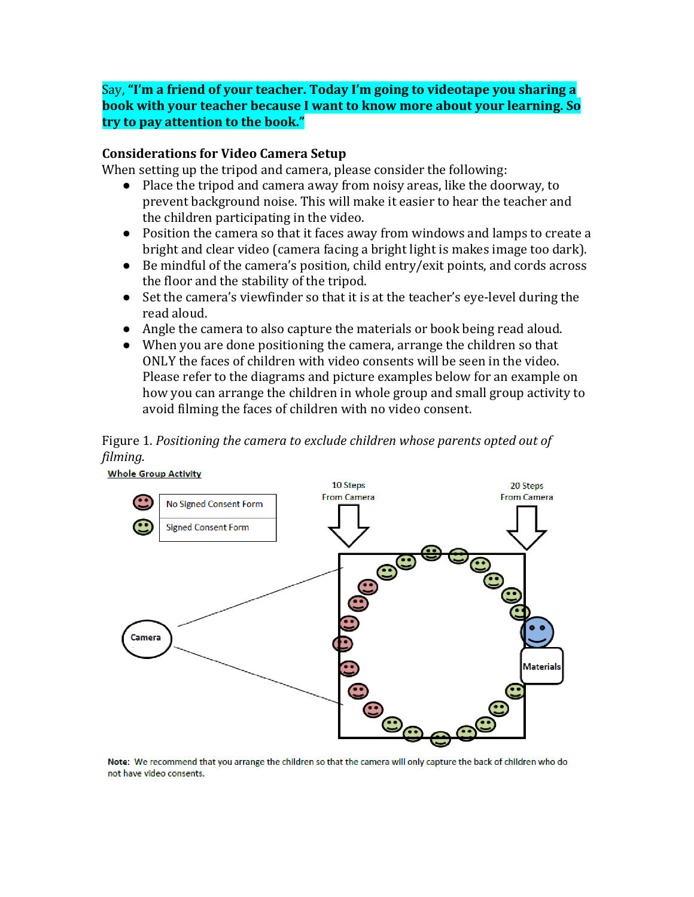Say, **"I'm a friend of your teacher. Today I'm going to videotape you sharing a book with your teacher because I want to know more about your learning. So try to pay attention to the book."**

#### **Considerations for Video Camera Setup**

When setting up the tripod and camera, please consider the following:

- Place the tripod and camera away from noisy areas, like the doorway, to prevent background noise. This will make it easier to hear the teacher and the children participating in the video.
- Position the camera so that it faces away from windows and lamps to create a bright and clear video (camera facing a bright light is makes image too dark).
- Be mindful of the camera's position, child entry/exit points, and cords across the floor and the stability of the tripod.
- Set the camera's viewfinder so that it is at the teacher's eye-level during the read aloud.
- Angle the camera to also capture the materials or book being read aloud.
- When you are done positioning the camera, arrange the children so that ONLY the faces of children with video consents will be seen in the video. Please refer to the diagrams and picture examples below for an example on how you can arrange the children in whole group and small group activity to avoid filming the faces of children with no video consent.

Figure 1. *Positioning the camera to exclude children whose parents opted out of filming.*



Note: We recommend that you arrange the children so that the camera will only capture the back of children who do not have video consents.